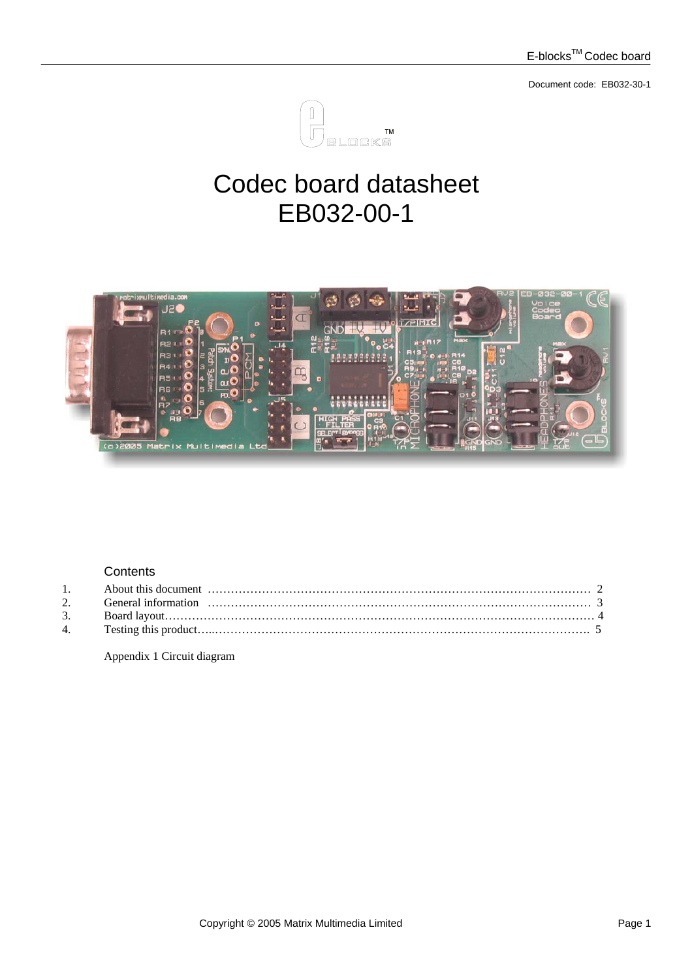

# Codec board datasheet EB032-00-1



### **Contents**

Appendix 1 Circuit diagram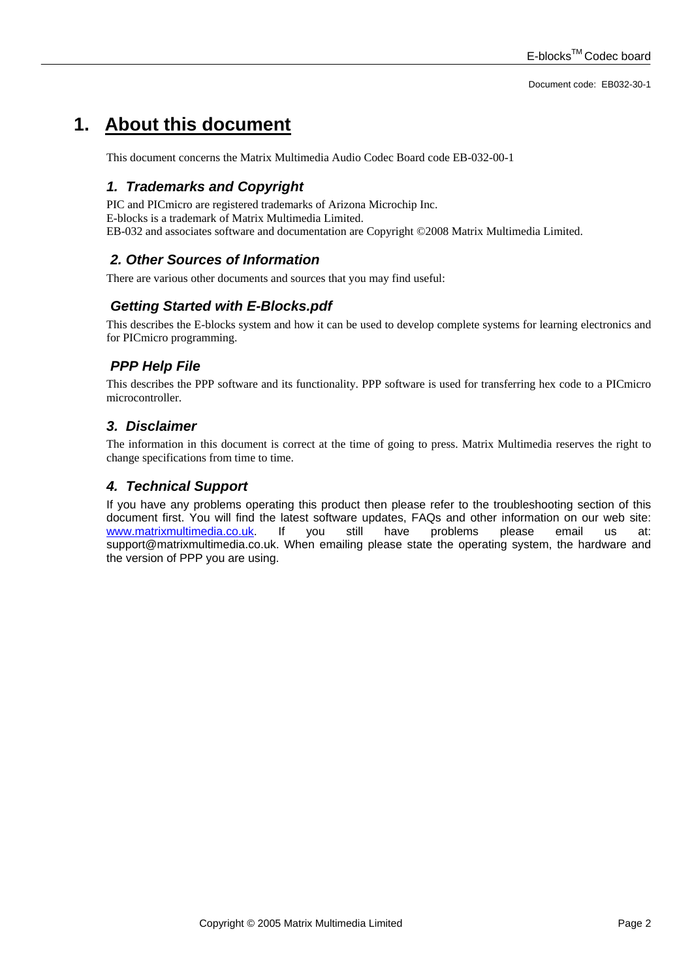### **1. About this document**

This document concerns the Matrix Multimedia Audio Codec Board code EB-032-00-1

#### *1. Trademarks and Copyright*

PIC and PICmicro are registered trademarks of Arizona Microchip Inc. E-blocks is a trademark of Matrix Multimedia Limited. EB-032 and associates software and documentation are Copyright ©2008 Matrix Multimedia Limited.

#### *2. Other Sources of Information*

There are various other documents and sources that you may find useful:

#### *Getting Started with E-Blocks.pdf*

This describes the E-blocks system and how it can be used to develop complete systems for learning electronics and for PICmicro programming.

#### *PPP Help File*

This describes the PPP software and its functionality. PPP software is used for transferring hex code to a PICmicro microcontroller.

#### *3. Disclaimer*

The information in this document is correct at the time of going to press. Matrix Multimedia reserves the right to change specifications from time to time.

#### *4. Technical Support*

If you have any problems operating this product then please refer to the troubleshooting section of this document first. You will find the latest software updates, FAQs and other information on our web site: [www.matrixmultimedia.co.uk](http://www.matrixmultimedia.co.uk/). If you still have problems please email us at: support@matrixmultimedia.co.uk. When emailing please state the operating system, the hardware and the version of PPP you are using.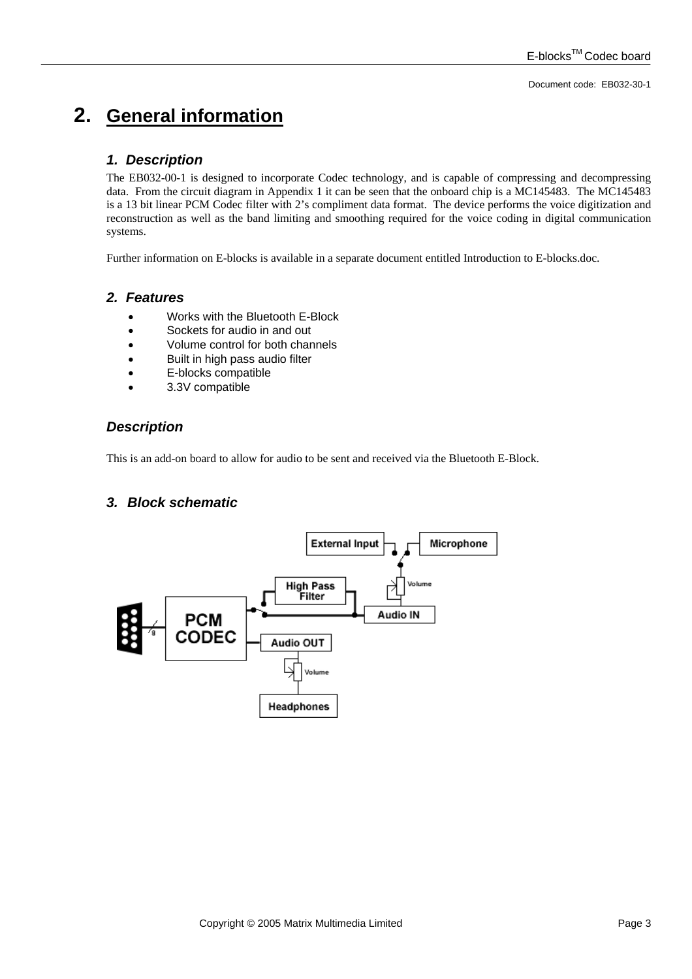## **2. General information**

#### *1. Description*

The EB032-00-1 is designed to incorporate Codec technology, and is capable of compressing and decompressing data. From the circuit diagram in Appendix 1 it can be seen that the onboard chip is a MC145483. The MC145483 is a 13 bit linear PCM Codec filter with 2's compliment data format. The device performs the voice digitization and reconstruction as well as the band limiting and smoothing required for the voice coding in digital communication systems.

Further information on E-blocks is available in a separate document entitled Introduction to E-blocks.doc.

#### *2. Features*

- Works with the Bluetooth E-Block
- Sockets for audio in and out
- Volume control for both channels
- Built in high pass audio filter
- E-blocks compatible
- 3.3V compatible

#### *Description*

This is an add-on board to allow for audio to be sent and received via the Bluetooth E-Block.

#### *3. Block schematic*

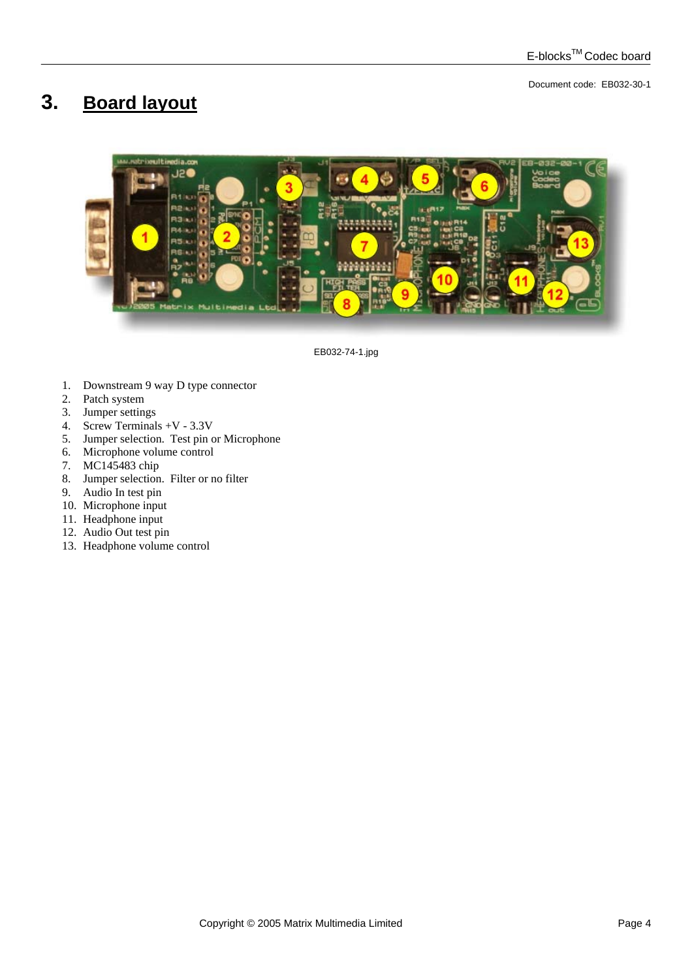## **3. Board layout**



EB032-74-1.jpg

- 1. Downstream 9 way D type connector
- 2. Patch system
- 3. Jumper settings
- 4. Screw Terminals +V 3.3V
- 5. Jumper selection. Test pin or Microphone
- 6. Microphone volume control
- 7. MC145483 chip
- 8. Jumper selection. Filter or no filter
- 9. Audio In test pin
- 10. Microphone input
- 11. Headphone input
- 12. Audio Out test pin
- 13. Headphone volume control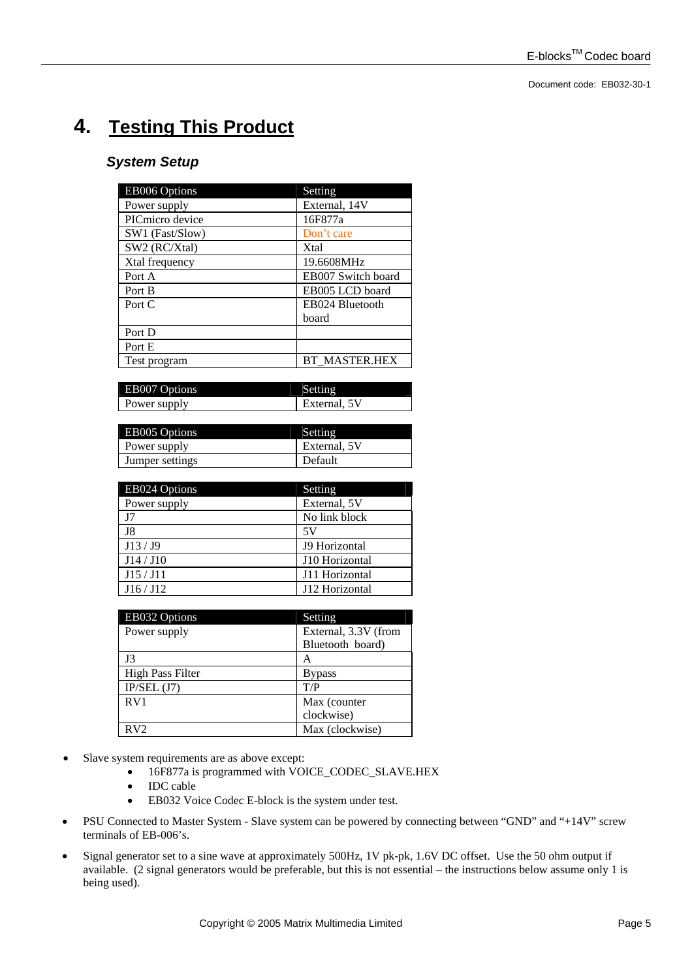# **4. Testing This Product**

### *System Setup*

| EB006 Options   | Setting              |
|-----------------|----------------------|
| Power supply    | External, 14V        |
| PICmicro device | 16F877a              |
| SW1 (Fast/Slow) | Don't care           |
| SW2 (RC/Xtal)   | Xtal                 |
| Xtal frequency  | 19.6608MHz           |
| Port A          | EB007 Switch board   |
| Port B          | EB005 LCD board      |
| Port C          | EB024 Bluetooth      |
|                 | board                |
| Port D          |                      |
| Port E          |                      |
| Test program    | <b>BT MASTER.HEX</b> |

| EB007 Options |              |
|---------------|--------------|
| Power supply  | External, 5V |

| EB005 Options   | Setting      |
|-----------------|--------------|
| Power supply    | External, 5V |
| Jumper settings | Default      |

| <b>EB024 Options</b> | Setting              |
|----------------------|----------------------|
| Power supply         | External, 5V         |
| J7                   | No link block        |
| J8                   | 5V                   |
| J13/J9               | <b>J9 Horizontal</b> |
| J14/J10              | J10 Horizontal       |
| J15 / J11            | J11 Horizontal       |
| J16/J12              | J12 Horizontal       |

| EB032 Options           | Setting              |
|-------------------------|----------------------|
| Power supply            | External, 3.3V (from |
|                         | Bluetooth board)     |
| J3                      | A                    |
| <b>High Pass Filter</b> | <b>Bypass</b>        |
| $IP/SEL$ (J7)           | T/P                  |
| RV <sub>1</sub>         | Max (counter         |
|                         | clockwise)           |
| RV2                     | Max (clockwise)      |

- Slave system requirements are as above except:
	- 16F877a is programmed with VOICE\_CODEC\_SLAVE.HEX
	- IDC cable
	- EB032 Voice Codec E-block is the system under test.
- PSU Connected to Master System Slave system can be powered by connecting between "GND" and "+14V" screw terminals of EB-006's.
- Signal generator set to a sine wave at approximately 500Hz, 1V pk-pk, 1.6V DC offset. Use the 50 ohm output if available. (2 signal generators would be preferable, but this is not essential – the instructions below assume only 1 is being used).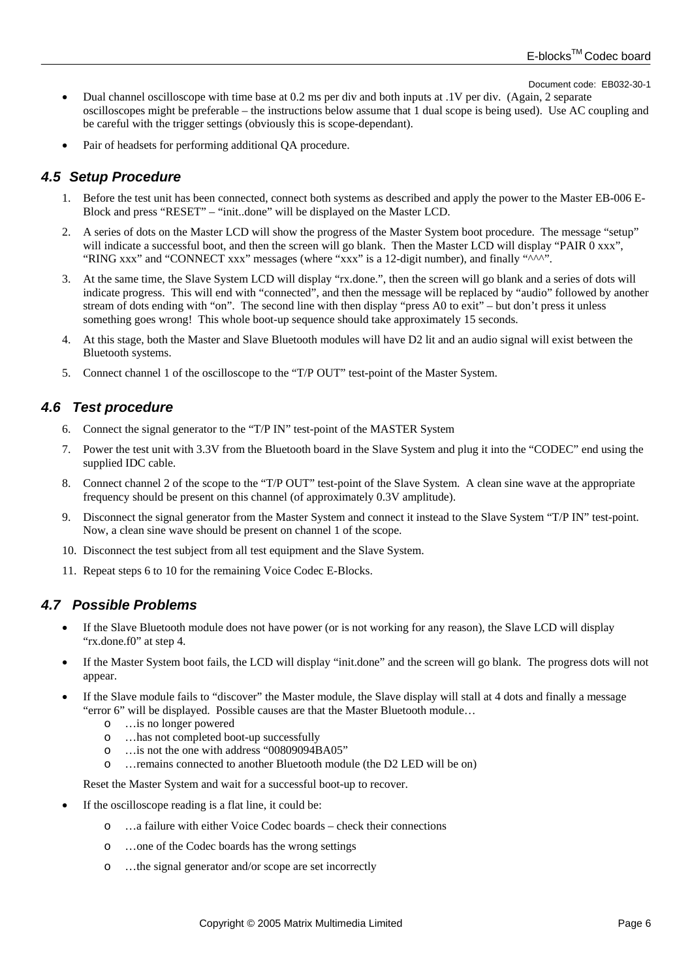- Dual channel oscilloscope with time base at 0.2 ms per div and both inputs at .1V per div. (Again, 2 separate oscilloscopes might be preferable – the instructions below assume that 1 dual scope is being used). Use AC coupling and be careful with the trigger settings (obviously this is scope-dependant).
- Pair of headsets for performing additional QA procedure.

#### *4.5**Setup Procedure*

- 1. Before the test unit has been connected, connect both systems as described and apply the power to the Master EB-006 E-Block and press "RESET" – "init..done" will be displayed on the Master LCD.
- 2. A series of dots on the Master LCD will show the progress of the Master System boot procedure. The message "setup" will indicate a successful boot, and then the screen will go blank. Then the Master LCD will display "PAIR 0 xxx", "RING xxx" and "CONNECT xxx" messages (where "xxx" is a 12-digit number), and finally "^^^".
- 3. At the same time, the Slave System LCD will display "rx.done.", then the screen will go blank and a series of dots will indicate progress. This will end with "connected", and then the message will be replaced by "audio" followed by another stream of dots ending with "on". The second line with then display "press A0 to exit" – but don't press it unless something goes wrong! This whole boot-up sequence should take approximately 15 seconds.
- 4. At this stage, both the Master and Slave Bluetooth modules will have D2 lit and an audio signal will exist between the Bluetooth systems.
- 5. Connect channel 1 of the oscilloscope to the "T/P OUT" test-point of the Master System.

#### *4.6 Test procedure*

- 6. Connect the signal generator to the "T/P IN" test-point of the MASTER System
- 7. Power the test unit with 3.3V from the Bluetooth board in the Slave System and plug it into the "CODEC" end using the supplied IDC cable.
- 8. Connect channel 2 of the scope to the "T/P OUT" test-point of the Slave System. A clean sine wave at the appropriate frequency should be present on this channel (of approximately 0.3V amplitude).
- 9. Disconnect the signal generator from the Master System and connect it instead to the Slave System "T/P IN" test-point. Now, a clean sine wave should be present on channel 1 of the scope.
- 10. Disconnect the test subject from all test equipment and the Slave System.
- 11. Repeat steps 6 to 10 for the remaining Voice Codec E-Blocks.

#### *4.7 Possible Problems*

- If the Slave Bluetooth module does not have power (or is not working for any reason), the Slave LCD will display "rx.done.f0" at step 4.
- If the Master System boot fails, the LCD will display "init.done" and the screen will go blank. The progress dots will not appear.
- If the Slave module fails to "discover" the Master module, the Slave display will stall at 4 dots and finally a message "error 6" will be displayed. Possible causes are that the Master Bluetooth module…
	- o …is no longer powered
	- o …has not completed boot-up successfully
	- o …is not the one with address "00809094BA05"
	- o …remains connected to another Bluetooth module (the D2 LED will be on)

Reset the Master System and wait for a successful boot-up to recover.

- If the oscilloscope reading is a flat line, it could be:
	- o …a failure with either Voice Codec boards check their connections
	- o …one of the Codec boards has the wrong settings
	- o …the signal generator and/or scope are set incorrectly